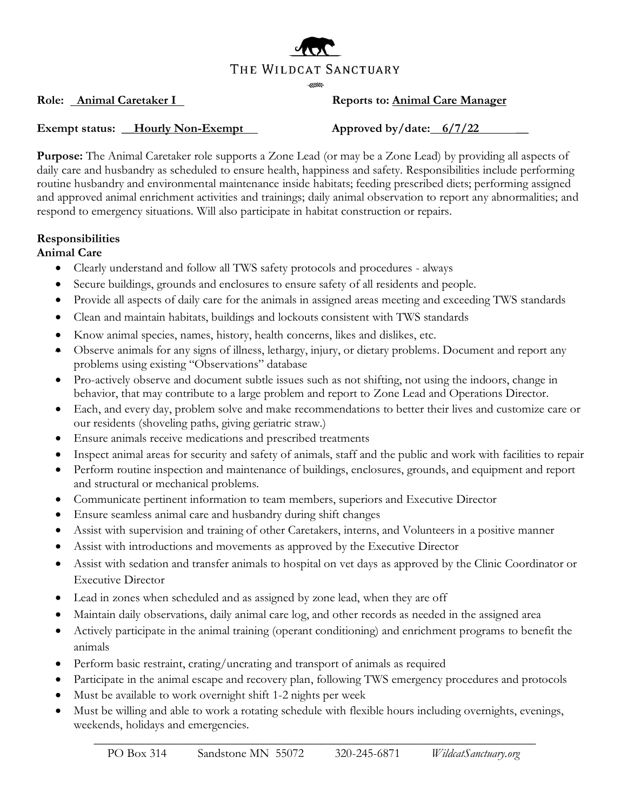

### **Role:** <u>Animal Caretaker I</u> Reports to: **Animal Care Manager**

#### **Exempt status: \_\_Hourly Non-Exempt Approved by/date: 6/7/22 \_\_**

**Purpose:** The Animal Caretaker role supports a Zone Lead (or may be a Zone Lead) by providing all aspects of daily care and husbandry as scheduled to ensure health, happiness and safety. Responsibilities include performing routine husbandry and environmental maintenance inside habitats; feeding prescribed diets; performing assigned and approved animal enrichment activities and trainings; daily animal observation to report any abnormalities; and respond to emergency situations. Will also participate in habitat construction or repairs.

#### **Responsibilities**

#### **Animal Care**

- Clearly understand and follow all TWS safety protocols and procedures always
- Secure buildings, grounds and enclosures to ensure safety of all residents and people.
- Provide all aspects of daily care for the animals in assigned areas meeting and exceeding TWS standards
- Clean and maintain habitats, buildings and lockouts consistent with TWS standards
- Know animal species, names, history, health concerns, likes and dislikes, etc.
- Observe animals for any signs of illness, lethargy, injury, or dietary problems. Document and report any problems using existing "Observations" database
- Pro-actively observe and document subtle issues such as not shifting, not using the indoors, change in behavior, that may contribute to a large problem and report to Zone Lead and Operations Director.
- Each, and every day, problem solve and make recommendations to better their lives and customize care or our residents (shoveling paths, giving geriatric straw.)
- Ensure animals receive medications and prescribed treatments
- Inspect animal areas for security and safety of animals, staff and the public and work with facilities to repair
- Perform routine inspection and maintenance of buildings, enclosures, grounds, and equipment and report and structural or mechanical problems.
- Communicate pertinent information to team members, superiors and Executive Director
- Ensure seamless animal care and husbandry during shift changes
- Assist with supervision and training of other Caretakers, interns, and Volunteers in a positive manner
- Assist with introductions and movements as approved by the Executive Director
- Assist with sedation and transfer animals to hospital on vet days as approved by the Clinic Coordinator or Executive Director
- Lead in zones when scheduled and as assigned by zone lead, when they are off
- Maintain daily observations, daily animal care log, and other records as needed in the assigned area
- Actively participate in the animal training (operant conditioning) and enrichment programs to benefit the animals
- Perform basic restraint, crating/uncrating and transport of animals as required
- Participate in the animal escape and recovery plan, following TWS emergency procedures and protocols
- Must be available to work overnight shift 1-2 nights per week
- Must be willing and able to work a rotating schedule with flexible hours including overnights, evenings, weekends, holidays and emergencies.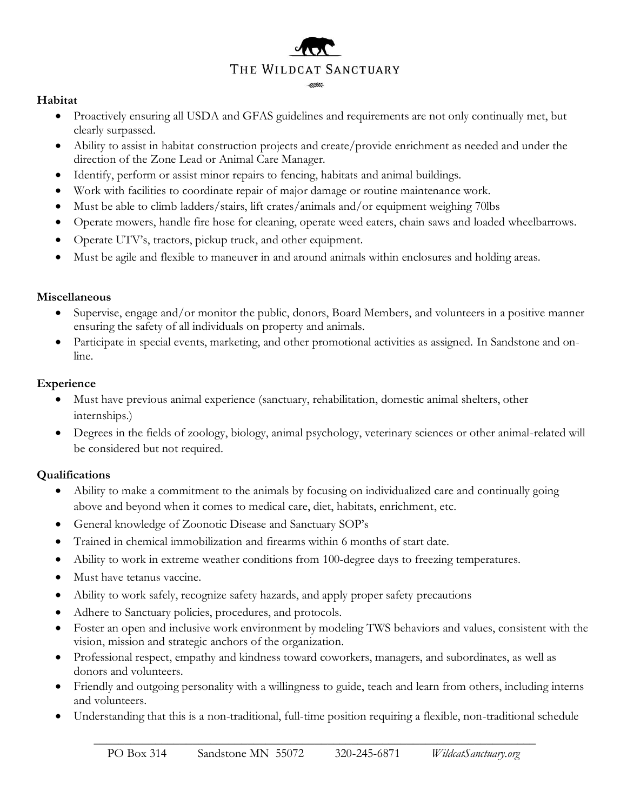# THE WILDCAT SANCTUARY

#### **Habitat**

- Proactively ensuring all USDA and GFAS guidelines and requirements are not only continually met, but clearly surpassed.
- Ability to assist in habitat construction projects and create/provide enrichment as needed and under the direction of the Zone Lead or Animal Care Manager.
- Identify, perform or assist minor repairs to fencing, habitats and animal buildings.
- Work with facilities to coordinate repair of major damage or routine maintenance work.
- Must be able to climb ladders/stairs, lift crates/animals and/or equipment weighing 70lbs
- Operate mowers, handle fire hose for cleaning, operate weed eaters, chain saws and loaded wheelbarrows.
- Operate UTV's, tractors, pickup truck, and other equipment.
- Must be agile and flexible to maneuver in and around animals within enclosures and holding areas.

#### **Miscellaneous**

- Supervise, engage and/or monitor the public, donors, Board Members, and volunteers in a positive manner ensuring the safety of all individuals on property and animals.
- Participate in special events, marketing, and other promotional activities as assigned. In Sandstone and online.

#### **Experience**

- Must have previous animal experience (sanctuary, rehabilitation, domestic animal shelters, other internships.)
- Degrees in the fields of zoology, biology, animal psychology, veterinary sciences or other animal-related will be considered but not required.

#### **Qualifications**

- Ability to make a commitment to the animals by focusing on individualized care and continually going above and beyond when it comes to medical care, diet, habitats, enrichment, etc.
- General knowledge of Zoonotic Disease and Sanctuary SOP's
- Trained in chemical immobilization and firearms within 6 months of start date.
- Ability to work in extreme weather conditions from 100-degree days to freezing temperatures.
- Must have tetanus vaccine.
- Ability to work safely, recognize safety hazards, and apply proper safety precautions
- Adhere to Sanctuary policies, procedures, and protocols.
- Foster an open and inclusive work environment by modeling TWS behaviors and values, consistent with the vision, mission and strategic anchors of the organization.
- Professional respect, empathy and kindness toward coworkers, managers, and subordinates, as well as donors and volunteers.
- Friendly and outgoing personality with a willingness to guide, teach and learn from others, including interns and volunteers.
- Understanding that this is a non-traditional, full-time position requiring a flexible, non-traditional schedule